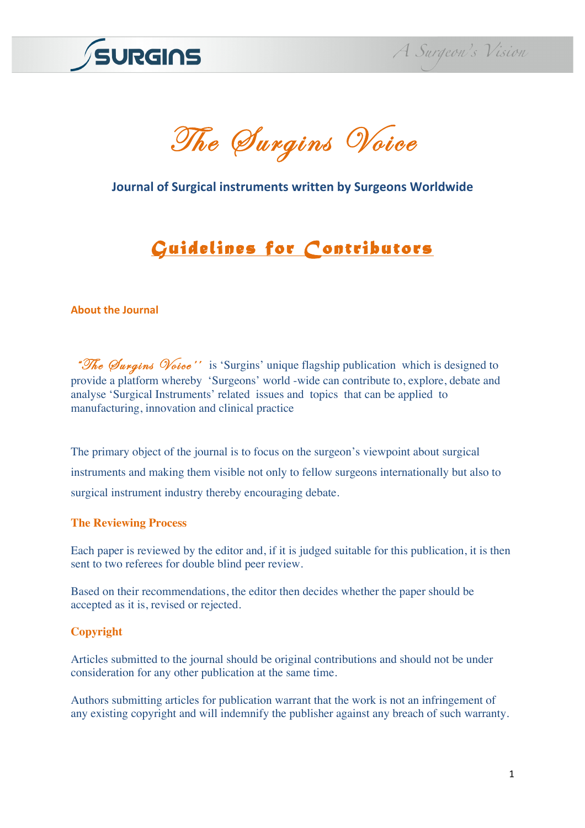

The Surgins Voice

# **Journal of Surgical instruments written by Surgeons Worldwide**

# *Guidelines for Contributors*

#### **About the Journal**

"The *Surgins Voice''* is 'Surgins' unique flagship publication which is designed to provide a platform whereby 'Surgeons' world -wide can contribute to, explore, debate and analyse 'Surgical Instruments' related issues and topics that can be applied to manufacturing, innovation and clinical practice

The primary object of the journal is to focus on the surgeon's viewpoint about surgical instruments and making them visible not only to fellow surgeons internationally but also to surgical instrument industry thereby encouraging debate.

#### **The Reviewing Process**

Each paper is reviewed by the editor and, if it is judged suitable for this publication, it is then sent to two referees for double blind peer review.

Based on their recommendations, the editor then decides whether the paper should be accepted as it is, revised or rejected.

#### **Copyright**

Articles submitted to the journal should be original contributions and should not be under consideration for any other publication at the same time.

Authors submitting articles for publication warrant that the work is not an infringement of any existing copyright and will indemnify the publisher against any breach of such warranty.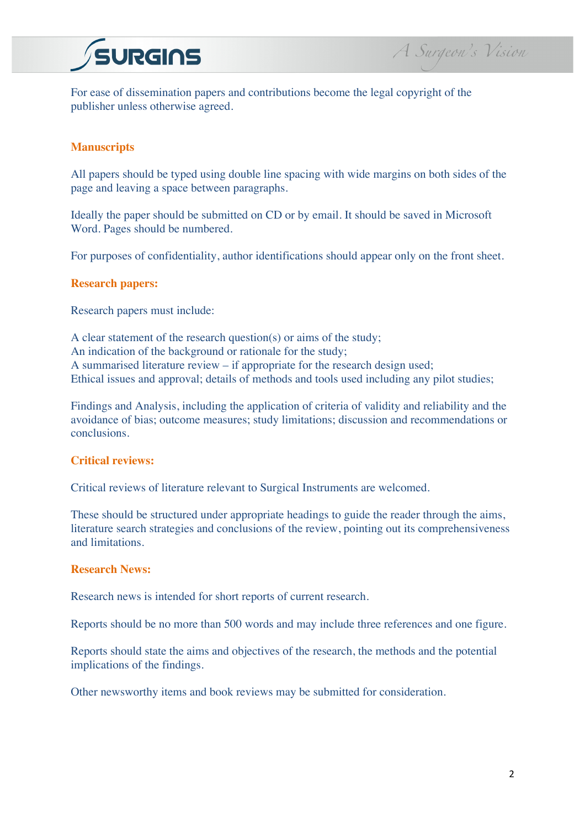



For ease of dissemination papers and contributions become the legal copyright of the publisher unless otherwise agreed.

# **Manuscripts**

All papers should be typed using double line spacing with wide margins on both sides of the page and leaving a space between paragraphs.

Ideally the paper should be submitted on CD or by email. It should be saved in Microsoft Word. Pages should be numbered.

For purposes of confidentiality, author identifications should appear only on the front sheet.

## **Research papers:**

Research papers must include:

A clear statement of the research question(s) or aims of the study; An indication of the background or rationale for the study; A summarised literature review – if appropriate for the research design used; Ethical issues and approval; details of methods and tools used including any pilot studies;

Findings and Analysis, including the application of criteria of validity and reliability and the avoidance of bias; outcome measures; study limitations; discussion and recommendations or conclusions.

# **Critical reviews:**

Critical reviews of literature relevant to Surgical Instruments are welcomed.

These should be structured under appropriate headings to guide the reader through the aims, literature search strategies and conclusions of the review, pointing out its comprehensiveness and limitations.

# **Research News:**

Research news is intended for short reports of current research.

Reports should be no more than 500 words and may include three references and one figure.

Reports should state the aims and objectives of the research, the methods and the potential implications of the findings.

Other newsworthy items and book reviews may be submitted for consideration.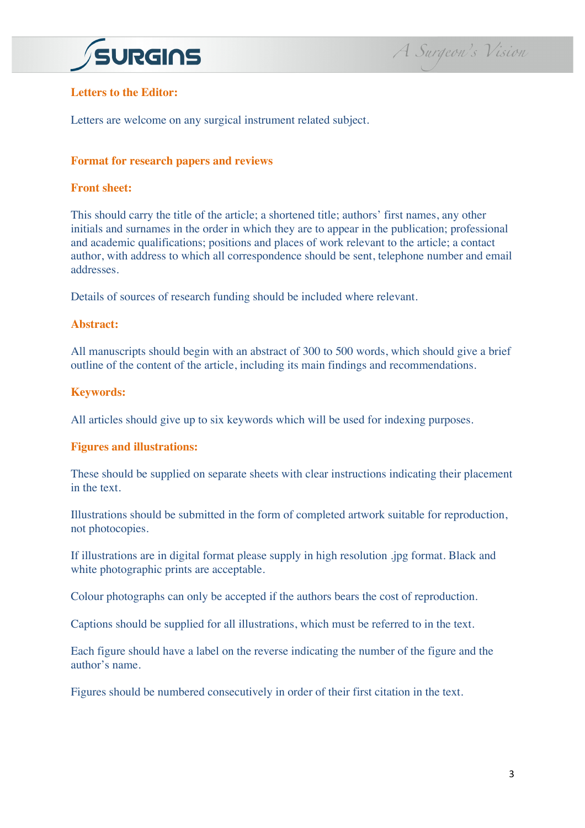

# **Letters to the Editor:**

Letters are welcome on any surgical instrument related subject.

#### **Format for research papers and reviews**

# **Front sheet:**

This should carry the title of the article; a shortened title; authors' first names, any other initials and surnames in the order in which they are to appear in the publication; professional and academic qualifications; positions and places of work relevant to the article; a contact author, with address to which all correspondence should be sent, telephone number and email addresses.

Details of sources of research funding should be included where relevant.

#### **Abstract:**

All manuscripts should begin with an abstract of 300 to 500 words, which should give a brief outline of the content of the article, including its main findings and recommendations.

#### **Keywords:**

All articles should give up to six keywords which will be used for indexing purposes.

#### **Figures and illustrations:**

These should be supplied on separate sheets with clear instructions indicating their placement in the text.

Illustrations should be submitted in the form of completed artwork suitable for reproduction, not photocopies.

If illustrations are in digital format please supply in high resolution .jpg format. Black and white photographic prints are acceptable.

Colour photographs can only be accepted if the authors bears the cost of reproduction.

Captions should be supplied for all illustrations, which must be referred to in the text.

Each figure should have a label on the reverse indicating the number of the figure and the author's name.

Figures should be numbered consecutively in order of their first citation in the text.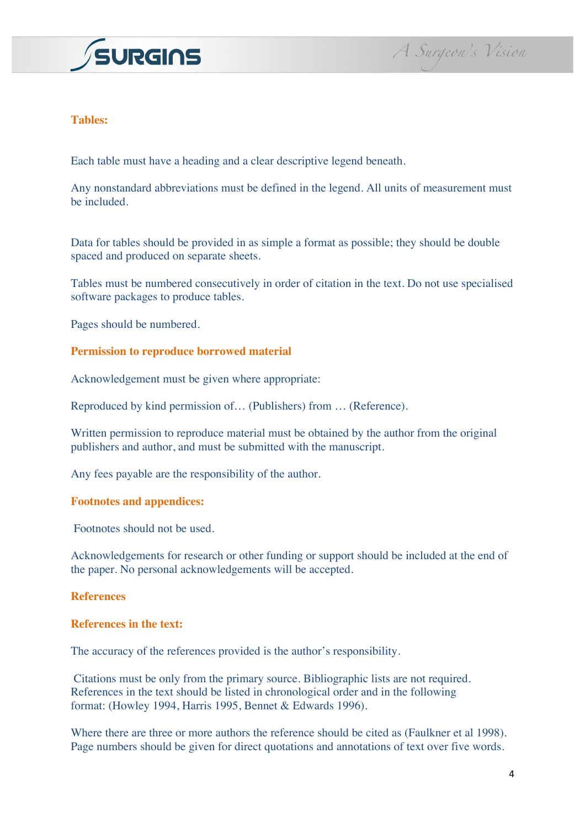

## **Tables:**

Each table must have a heading and a clear descriptive legend beneath.

Any nonstandard abbreviations must be defined in the legend. All units of measurement must be included.

Data for tables should be provided in as simple a format as possible; they should be double spaced and produced on separate sheets.

Tables must be numbered consecutively in order of citation in the text. Do not use specialised software packages to produce tables.

Pages should be numbered.

## **Permission to reproduce borrowed material**

Acknowledgement must be given where appropriate:

Reproduced by kind permission of… (Publishers) from … (Reference).

Written permission to reproduce material must be obtained by the author from the original publishers and author, and must be submitted with the manuscript.

Any fees payable are the responsibility of the author.

#### **Footnotes and appendices:**

Footnotes should not be used.

Acknowledgements for research or other funding or support should be included at the end of the paper. No personal acknowledgements will be accepted.

#### **References**

#### **References in the text:**

The accuracy of the references provided is the author's responsibility.

Citations must be only from the primary source. Bibliographic lists are not required. References in the text should be listed in chronological order and in the following format: (Howley 1994, Harris 1995, Bennet & Edwards 1996).

Where there are three or more authors the reference should be cited as (Faulkner et al 1998). Page numbers should be given for direct quotations and annotations of text over five words.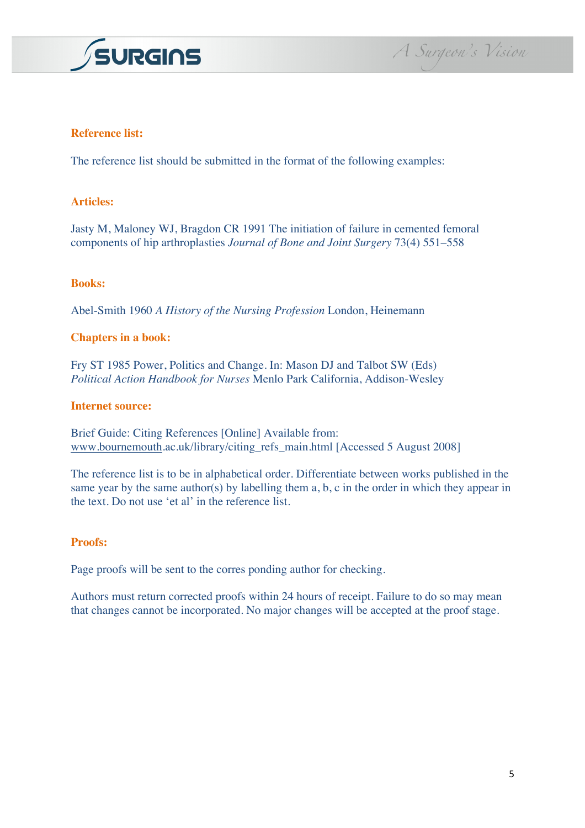

A Surgeon's Vision

# **Reference list:**

The reference list should be submitted in the format of the following examples:

## **Articles:**

Jasty M, Maloney WJ, Bragdon CR 1991 The initiation of failure in cemented femoral components of hip arthroplasties *Journal of Bone and Joint Surgery* 73(4) 551–558

#### **Books:**

Abel-Smith 1960 *A History of the Nursing Profession* London, Heinemann

#### **Chapters in a book:**

Fry ST 1985 Power, Politics and Change. In: Mason DJ and Talbot SW (Eds) *Political Action Handbook for Nurses* Menlo Park California, Addison-Wesley

#### **Internet source:**

Brief Guide: Citing References [Online] Available from: www.bournemouth.ac.uk/library/citing\_refs\_main.html [Accessed 5 August 2008]

The reference list is to be in alphabetical order. Differentiate between works published in the same year by the same author(s) by labelling them a, b, c in the order in which they appear in the text. Do not use 'et al' in the reference list.

#### **Proofs:**

Page proofs will be sent to the corres ponding author for checking.

Authors must return corrected proofs within 24 hours of receipt. Failure to do so may mean that changes cannot be incorporated. No major changes will be accepted at the proof stage.